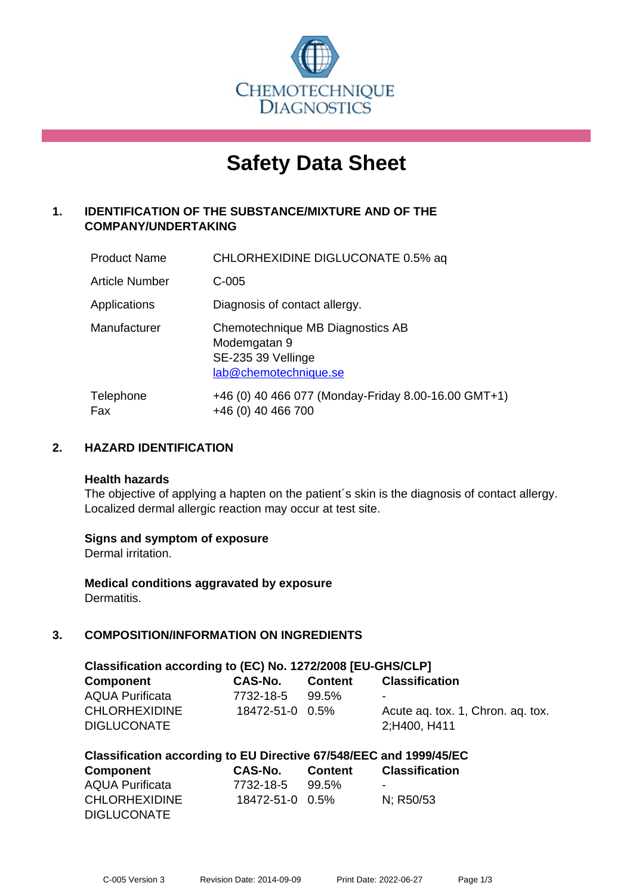

# **Safety Data Sheet**

# **1. IDENTIFICATION OF THE SUBSTANCE/MIXTURE AND OF THE COMPANY/UNDERTAKING**

| <b>Product Name</b>   | CHLORHEXIDINE DIGLUCONATE 0.5% aq                                                               |
|-----------------------|-------------------------------------------------------------------------------------------------|
| <b>Article Number</b> | C-005                                                                                           |
| Applications          | Diagnosis of contact allergy.                                                                   |
| Manufacturer          | Chemotechnique MB Diagnostics AB<br>Modemgatan 9<br>SE-235 39 Vellinge<br>lab@chemotechnique.se |
| Telephone<br>Fax      | +46 (0) 40 466 077 (Monday-Friday 8.00-16.00 GMT+1)<br>+46 (0) 40 466 700                       |

# **2. HAZARD IDENTIFICATION**

#### **Health hazards**

The objective of applying a hapten on the patient's skin is the diagnosis of contact allergy. Localized dermal allergic reaction may occur at test site.

#### **Signs and symptom of exposure**

Dermal irritation.

**Medical conditions aggravated by exposure** Dermatitis.

# **3. COMPOSITION/INFORMATION ON INGREDIENTS**

| Classification according to (EC) No. 1272/2008 [EU-GHS/CLP] |                 |         |                                   |
|-------------------------------------------------------------|-----------------|---------|-----------------------------------|
| Component                                                   | <b>CAS-No.</b>  | Content | <b>Classification</b>             |
| <b>AQUA Purificata</b>                                      | 7732-18-5       | 99.5%   |                                   |
| <b>CHLORHEXIDINE</b>                                        | 18472-51-0 0.5% |         | Acute ag. tox. 1, Chron. ag. tox. |
| <b>DIGLUCONATE</b>                                          |                 |         | 2:H400, H411                      |

| Classification according to EU Directive 67/548/EEC and 1999/45/EC |  |  |  |
|--------------------------------------------------------------------|--|--|--|
|--------------------------------------------------------------------|--|--|--|

| Component              | CAS-No.         | <b>Content</b> | <b>Classification</b>    |
|------------------------|-----------------|----------------|--------------------------|
| <b>AQUA Purificata</b> | 7732-18-5       | 99.5%          | $\overline{\phantom{a}}$ |
| <b>CHLORHEXIDINE</b>   | 18472-51-0 0.5% |                | N: R50/53                |
| <b>DIGLUCONATE</b>     |                 |                |                          |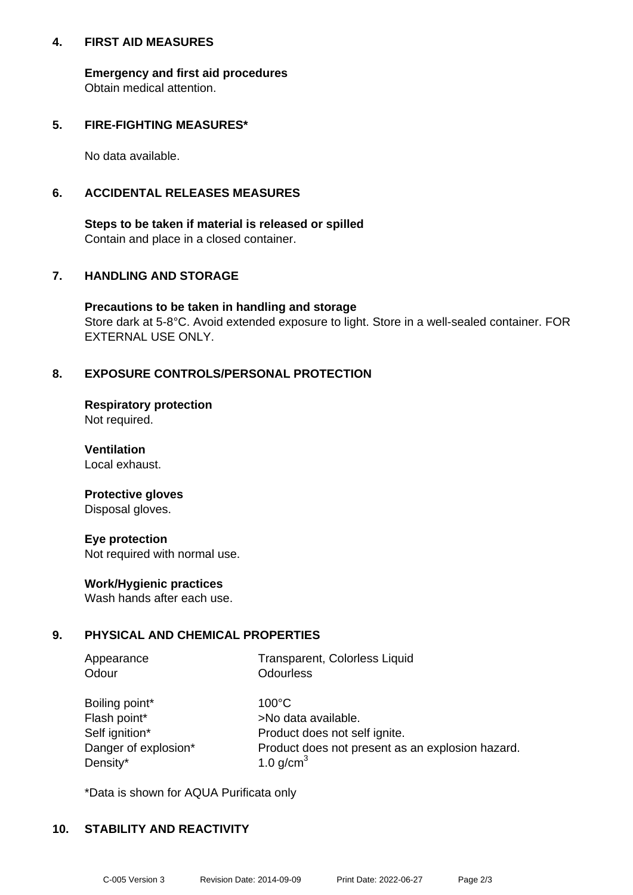#### **4. FIRST AID MEASURES**

**Emergency and first aid procedures** Obtain medical attention.

#### **5. FIRE-FIGHTING MEASURES\***

No data available.

### **6. ACCIDENTAL RELEASES MEASURES**

**Steps to be taken if material is released or spilled** Contain and place in a closed container.

# **7. HANDLING AND STORAGE**

**Precautions to be taken in handling and storage** Store dark at 5-8°C. Avoid extended exposure to light. Store in a well-sealed container. FOR EXTERNAL USE ONLY.

# **8. EXPOSURE CONTROLS/PERSONAL PROTECTION**

**Respiratory protection** Not required.

**Ventilation** Local exhaust.

#### **Protective gloves** Disposal gloves.

**Eye protection** Not required with normal use.

#### **Work/Hygienic practices**

Wash hands after each use.

#### **9. PHYSICAL AND CHEMICAL PROPERTIES**

| Appearance | Transparent, Colorless Liquid |
|------------|-------------------------------|
| Odour      | Odourless                     |
|            |                               |

| Boiling point*       | $100^{\circ}$ C |
|----------------------|-----------------|
| Flash point*         | >No data        |
| Self ignition*       | Product d       |
| Danger of explosion* | Product d       |
| Density*             | 1.0 $g/cm3$     |

data available. uct does not self ignite. uct does not present as an explosion hazard.

\*Data is shown for AQUA Purificata only

#### **10. STABILITY AND REACTIVITY**